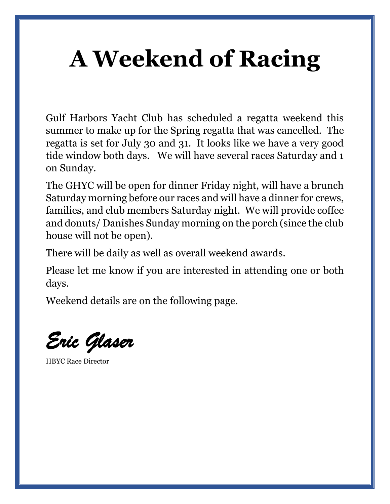## **A Weekend of Racing**

Gulf Harbors Yacht Club has scheduled a regatta weekend this summer to make up for the Spring regatta that was cancelled. The regatta is set for July 30 and 31. It looks like we have a very good tide window both days. We will have several races Saturday and 1 on Sunday.

The GHYC will be open for dinner Friday night, will have a brunch Saturday morning before our races and will have a dinner for crews, families, and club members Saturday night. We will provide coffee and donuts/ Danishes Sunday morning on the porch (since the club house will not be open).

There will be daily as well as overall weekend awards.

Please let me know if you are interested in attending one or both days.

Weekend details are on the following page.

*Eric Glaser* 

HBYC Race Director